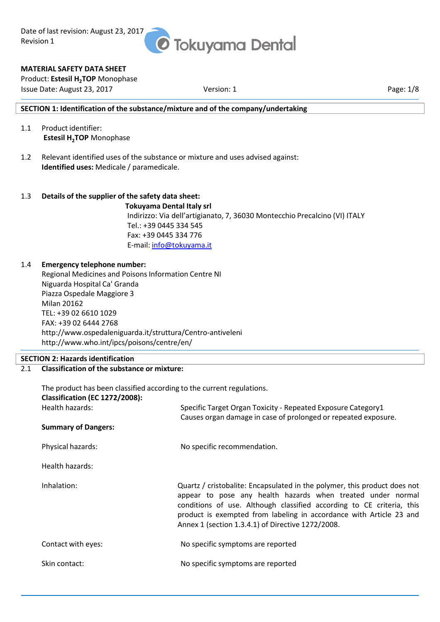

#### **MATERIAL SAFETY DATA SHEET**

Product: **Estesil H2TOP** Monophase Issue Date: August 23, 2017 Version: 1 Page: 1/8

#### **SECTION 1: Identification of the substance/mixture and of the company/undertaking**

- 1.1 Product identifier: **Estesil H2TOP** Monophase
- 1.2 Relevant identified uses of the substance or mixture and uses advised against: **Identified uses:** Medicale / paramedicale.

#### 1.3 **Details of the supplier of the safety data sheet: Tokuyama Dental Italy srl** Indirizzo: Via dell'artigianato, 7, 36030 Montecchio Precalcino (VI) ITALY Tel.: +39 0445 334 545 Fax: +39 0445 334 776 E-mail: info@tokuyama.it

#### 1.4 **Emergency telephone number:**

Regional Medicines and Poisons Information Centre NI Niguarda Hospital Ca' Granda Piazza Ospedale Maggiore 3 Milan 20162 TEL: +39 02 6610 1029 FAX: +39 02 6444 2768 http://www.ospedaleniguarda.it/struttura/Centro-antiveleni http://www.who.int/ipcs/poisons/centre/en/

#### **SECTION 2: Hazards identification**

2.1 **Classification of the substance or mixture:**

| The product has been classified according to the current regulations.<br><b>Classification (EC 1272/2008):</b> |                                                                                                                                                                                                                                                                                                                                               |
|----------------------------------------------------------------------------------------------------------------|-----------------------------------------------------------------------------------------------------------------------------------------------------------------------------------------------------------------------------------------------------------------------------------------------------------------------------------------------|
| Health hazards:                                                                                                | Specific Target Organ Toxicity - Repeated Exposure Category1<br>Causes organ damage in case of prolonged or repeated exposure.                                                                                                                                                                                                                |
| <b>Summary of Dangers:</b>                                                                                     |                                                                                                                                                                                                                                                                                                                                               |
| Physical hazards:                                                                                              | No specific recommendation.                                                                                                                                                                                                                                                                                                                   |
| Health hazards:                                                                                                |                                                                                                                                                                                                                                                                                                                                               |
| Inhalation:                                                                                                    | Quartz / cristobalite: Encapsulated in the polymer, this product does not<br>appear to pose any health hazards when treated under normal<br>conditions of use. Although classified according to CE criteria, this<br>product is exempted from labeling in accordance with Article 23 and<br>Annex 1 (section 1.3.4.1) of Directive 1272/2008. |
| Contact with eyes:                                                                                             | No specific symptoms are reported                                                                                                                                                                                                                                                                                                             |
| Skin contact:                                                                                                  | No specific symptoms are reported                                                                                                                                                                                                                                                                                                             |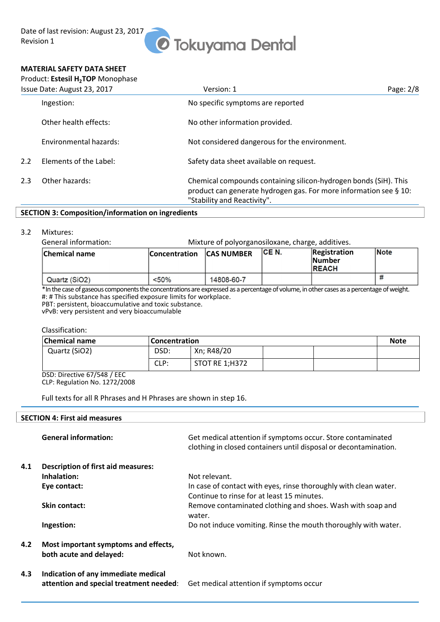## *O* Tokuyama Dental

#### **MATERIAL SAFETY DATA SHEET**

|     | Product: Estesil H <sub>2</sub> TOP Monophase |                                                                                                                                                                      |             |
|-----|-----------------------------------------------|----------------------------------------------------------------------------------------------------------------------------------------------------------------------|-------------|
|     | Issue Date: August 23, 2017                   | Version: 1                                                                                                                                                           | Page: $2/8$ |
|     | Ingestion:                                    | No specific symptoms are reported                                                                                                                                    |             |
|     | Other health effects:                         | No other information provided.                                                                                                                                       |             |
|     | Environmental hazards:                        | Not considered dangerous for the environment.                                                                                                                        |             |
| 2.2 | Elements of the Label:                        | Safety data sheet available on request.                                                                                                                              |             |
| 2.3 | Other hazards:                                | Chemical compounds containing silicon-hydrogen bonds (SiH). This<br>product can generate hydrogen gas. For more information see § 10:<br>"Stability and Reactivity". |             |

#### **SECTION 3: Composition/information on ingredients**

#### 3.2 Mixtures:

General information: Mixture of polyorganosiloxane, charge, additives.

| <b>Chemical name</b> | <b>Concentration</b> | <b>CAS NUMBER</b> | ICE N. | Registration<br><b>Number</b><br><b>REACH</b> | Note |
|----------------------|----------------------|-------------------|--------|-----------------------------------------------|------|
| Quartz (SiO2)        | < 50%                | 14808-60-7        |        |                                               |      |

\*In the case of gaseous components the concentrations are expressed as a percentage of volume, in other cases as a percentage of weight. #: # This substance has specified exposure limits for workplace.

PBT: persistent, bioaccumulative and toxic substance.

vPvB: very persistent and very bioaccumulable

Classification:

| <b>Chemical name</b> | <b>Concentration</b> |                |  | <b>Note</b> |
|----------------------|----------------------|----------------|--|-------------|
| Quartz (SiO2)        | DSD:                 | Xn; R48/20     |  |             |
|                      | CLP:                 | STOT RE 1;H372 |  |             |

DSD: Directive 67/548 / EEC CLP: Regulation No. 1272/2008

Full texts for all R Phrases and H Phrases are shown in step 16.

#### **SECTION 4: First aid measures**

|     | <b>General information:</b>                                                    | Get medical attention if symptoms occur. Store contaminated<br>clothing in closed containers until disposal or decontamination. |
|-----|--------------------------------------------------------------------------------|---------------------------------------------------------------------------------------------------------------------------------|
| 4.1 | <b>Description of first aid measures:</b>                                      |                                                                                                                                 |
|     | Inhalation:                                                                    | Not relevant.                                                                                                                   |
|     | Eye contact:                                                                   | In case of contact with eyes, rinse thoroughly with clean water.                                                                |
|     |                                                                                | Continue to rinse for at least 15 minutes.                                                                                      |
|     | Skin contact:                                                                  | Remove contaminated clothing and shoes. Wash with soap and<br>water.                                                            |
|     | Ingestion:                                                                     | Do not induce vomiting. Rinse the mouth thoroughly with water.                                                                  |
| 4.2 | Most important symptoms and effects,<br>both acute and delayed:                | Not known.                                                                                                                      |
| 4.3 | Indication of any immediate medical<br>attention and special treatment needed: | Get medical attention if symptoms occur                                                                                         |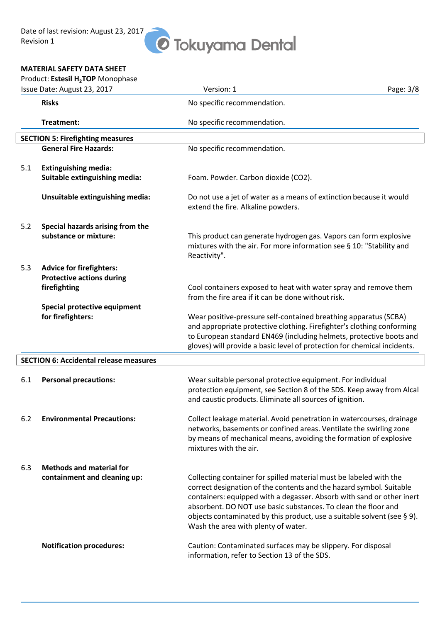# **O** Tokuyama Dental

#### **MATERIAL SAFETY DATA SHEET**

|     | Product: Estesil H <sub>2</sub> TOP Monophase                                                                                            |                                                                                                                                                                                                                                                                                                                                                                                                        |           |
|-----|------------------------------------------------------------------------------------------------------------------------------------------|--------------------------------------------------------------------------------------------------------------------------------------------------------------------------------------------------------------------------------------------------------------------------------------------------------------------------------------------------------------------------------------------------------|-----------|
|     | Issue Date: August 23, 2017                                                                                                              | Version: 1                                                                                                                                                                                                                                                                                                                                                                                             | Page: 3/8 |
|     | <b>Risks</b>                                                                                                                             | No specific recommendation.                                                                                                                                                                                                                                                                                                                                                                            |           |
|     | Treatment:                                                                                                                               | No specific recommendation.                                                                                                                                                                                                                                                                                                                                                                            |           |
|     | <b>SECTION 5: Firefighting measures</b>                                                                                                  |                                                                                                                                                                                                                                                                                                                                                                                                        |           |
|     | <b>General Fire Hazards:</b>                                                                                                             | No specific recommendation.                                                                                                                                                                                                                                                                                                                                                                            |           |
| 5.1 | <b>Extinguishing media:</b><br>Suitable extinguishing media:                                                                             | Foam. Powder. Carbon dioxide (CO2).                                                                                                                                                                                                                                                                                                                                                                    |           |
|     | Unsuitable extinguishing media:                                                                                                          | Do not use a jet of water as a means of extinction because it would<br>extend the fire. Alkaline powders.                                                                                                                                                                                                                                                                                              |           |
| 5.2 | Special hazards arising from the<br>substance or mixture:                                                                                | This product can generate hydrogen gas. Vapors can form explosive<br>mixtures with the air. For more information see § 10: "Stability and<br>Reactivity".                                                                                                                                                                                                                                              |           |
| 5.3 | <b>Advice for firefighters:</b><br><b>Protective actions during</b><br>firefighting<br>Special protective equipment<br>for firefighters: | Cool containers exposed to heat with water spray and remove them<br>from the fire area if it can be done without risk.<br>Wear positive-pressure self-contained breathing apparatus (SCBA)<br>and appropriate protective clothing. Firefighter's clothing conforming<br>to European standard EN469 (including helmets, protective boots and                                                            |           |
|     |                                                                                                                                          | gloves) will provide a basic level of protection for chemical incidents.                                                                                                                                                                                                                                                                                                                               |           |
|     | <b>SECTION 6: Accidental release measures</b>                                                                                            |                                                                                                                                                                                                                                                                                                                                                                                                        |           |
| 6.1 | <b>Personal precautions:</b>                                                                                                             | Wear suitable personal protective equipment. For individual<br>protection equipment, see Section 8 of the SDS. Keep away from Alcal<br>and caustic products. Eliminate all sources of ignition.                                                                                                                                                                                                        |           |
| 6.2 | <b>Environmental Precautions:</b>                                                                                                        | Collect leakage material. Avoid penetration in watercourses, drainage<br>networks, basements or confined areas. Ventilate the swirling zone<br>by means of mechanical means, avoiding the formation of explosive<br>mixtures with the air.                                                                                                                                                             |           |
| 6.3 | <b>Methods and material for</b>                                                                                                          |                                                                                                                                                                                                                                                                                                                                                                                                        |           |
|     | containment and cleaning up:                                                                                                             | Collecting container for spilled material must be labeled with the<br>correct designation of the contents and the hazard symbol. Suitable<br>containers: equipped with a degasser. Absorb with sand or other inert<br>absorbent. DO NOT use basic substances. To clean the floor and<br>objects contaminated by this product, use a suitable solvent (see § 9).<br>Wash the area with plenty of water. |           |
|     | <b>Notification procedures:</b>                                                                                                          | Caution: Contaminated surfaces may be slippery. For disposal<br>information, refer to Section 13 of the SDS.                                                                                                                                                                                                                                                                                           |           |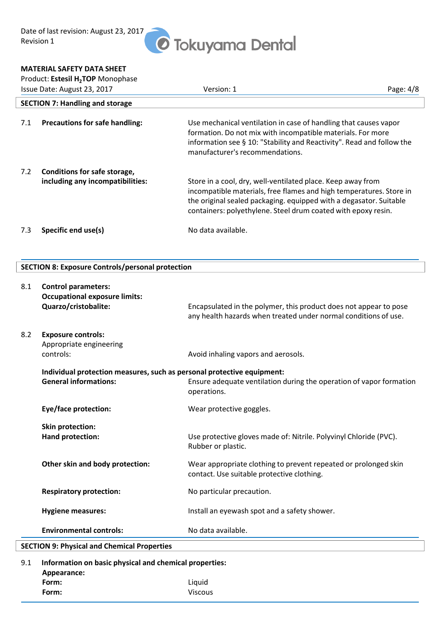#### **MATERIAL SAFETY DATA SHEET**

|     | Product: Estesil H <sub>2</sub> TOP Monophase                    |                                                                                                                                                                                                                                                                           |             |
|-----|------------------------------------------------------------------|---------------------------------------------------------------------------------------------------------------------------------------------------------------------------------------------------------------------------------------------------------------------------|-------------|
|     | Issue Date: August 23, 2017                                      | Version: 1                                                                                                                                                                                                                                                                | Page: $4/8$ |
|     | <b>SECTION 7: Handling and storage</b>                           |                                                                                                                                                                                                                                                                           |             |
| 7.1 | <b>Precautions for safe handling:</b>                            | Use mechanical ventilation in case of handling that causes vapor<br>formation. Do not mix with incompatible materials. For more<br>information see § 10: "Stability and Reactivity". Read and follow the<br>manufacturer's recommendations.                               |             |
| 7.2 | Conditions for safe storage,<br>including any incompatibilities: | Store in a cool, dry, well-ventilated place. Keep away from<br>incompatible materials, free flames and high temperatures. Store in<br>the original sealed packaging. equipped with a degasator. Suitable<br>containers: polyethylene. Steel drum coated with epoxy resin. |             |
| 7.3 | Specific end use(s)                                              | No data available.                                                                                                                                                                                                                                                        |             |

#### **SECTION 8: Exposure Controls/personal protection**

| 8.1 | <b>Control parameters:</b>                                             |                                                                                                                                      |
|-----|------------------------------------------------------------------------|--------------------------------------------------------------------------------------------------------------------------------------|
|     | <b>Occupational exposure limits:</b>                                   |                                                                                                                                      |
|     | Quarzo/cristobalite:                                                   | Encapsulated in the polymer, this product does not appear to pose<br>any health hazards when treated under normal conditions of use. |
| 8.2 | <b>Exposure controls:</b><br>Appropriate engineering<br>controls:      | Avoid inhaling vapors and aerosols.                                                                                                  |
|     | Individual protection measures, such as personal protective equipment: |                                                                                                                                      |
|     | <b>General informations:</b>                                           | Ensure adequate ventilation during the operation of vapor formation<br>operations.                                                   |
|     | Eye/face protection:                                                   | Wear protective goggles.                                                                                                             |
|     | <b>Skin protection:</b>                                                |                                                                                                                                      |
|     | Hand protection:                                                       | Use protective gloves made of: Nitrile. Polyvinyl Chloride (PVC).<br>Rubber or plastic.                                              |
|     | Other skin and body protection:                                        | Wear appropriate clothing to prevent repeated or prolonged skin<br>contact. Use suitable protective clothing.                        |
|     | <b>Respiratory protection:</b>                                         | No particular precaution.                                                                                                            |
|     | <b>Hygiene measures:</b>                                               | Install an eyewash spot and a safety shower.                                                                                         |
|     | <b>Environmental controls:</b>                                         | No data available.                                                                                                                   |
|     | <b>SECTION 9: Physical and Chemical Properties</b>                     |                                                                                                                                      |
| 9.1 | Information on basic physical and chemical properties:                 |                                                                                                                                      |

| . |             |                |
|---|-------------|----------------|
|   | Appearance: |                |
|   | Form:       | Liguid         |
|   | Form:       | <b>Viscous</b> |
|   |             |                |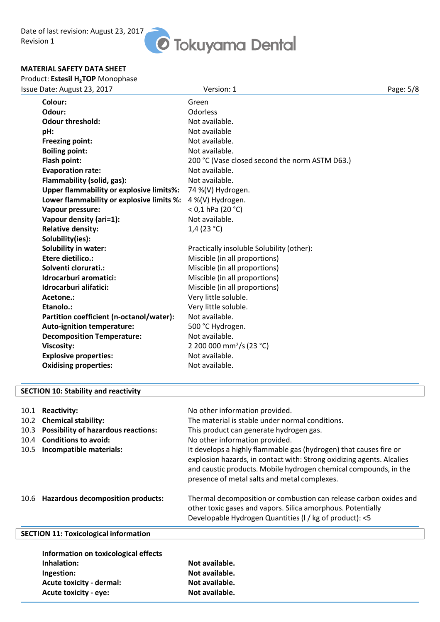# *O* Tokuyama Dental

#### **MATERIAL SAFETY DATA SHEET**

#### Product: **Estesil H2TOP** Monophase

| Colour:<br>Green<br>Odour:<br>Odorless<br><b>Odour threshold:</b><br>Not available.<br>Not available<br>pH:<br>Not available.<br><b>Freezing point:</b><br><b>Boiling point:</b><br>Not available.<br>Flash point:<br>200 °C (Vase closed second the norm ASTM D63.)<br><b>Evaporation rate:</b><br>Not available.<br>Flammability (solid, gas):<br>Not available.<br><b>Upper flammability or explosive limits%:</b><br>74 %(V) Hydrogen. | Page: 5/8 |
|--------------------------------------------------------------------------------------------------------------------------------------------------------------------------------------------------------------------------------------------------------------------------------------------------------------------------------------------------------------------------------------------------------------------------------------------|-----------|
|                                                                                                                                                                                                                                                                                                                                                                                                                                            |           |
|                                                                                                                                                                                                                                                                                                                                                                                                                                            |           |
|                                                                                                                                                                                                                                                                                                                                                                                                                                            |           |
|                                                                                                                                                                                                                                                                                                                                                                                                                                            |           |
|                                                                                                                                                                                                                                                                                                                                                                                                                                            |           |
|                                                                                                                                                                                                                                                                                                                                                                                                                                            |           |
|                                                                                                                                                                                                                                                                                                                                                                                                                                            |           |
|                                                                                                                                                                                                                                                                                                                                                                                                                                            |           |
|                                                                                                                                                                                                                                                                                                                                                                                                                                            |           |
|                                                                                                                                                                                                                                                                                                                                                                                                                                            |           |
| Lower flammability or explosive limits %:<br>4 %(V) Hydrogen.                                                                                                                                                                                                                                                                                                                                                                              |           |
| $<$ 0,1 hPa (20 °C)<br>Vapour pressure:                                                                                                                                                                                                                                                                                                                                                                                                    |           |
| Not available.<br>Vapour density (ari=1):                                                                                                                                                                                                                                                                                                                                                                                                  |           |
| <b>Relative density:</b><br>1,4 $(23 °C)$                                                                                                                                                                                                                                                                                                                                                                                                  |           |
| Solubility(ies):                                                                                                                                                                                                                                                                                                                                                                                                                           |           |
| <b>Solubility in water:</b><br>Practically insoluble Solubility (other):                                                                                                                                                                                                                                                                                                                                                                   |           |
| <b>Etere dietilico.:</b><br>Miscible (in all proportions)                                                                                                                                                                                                                                                                                                                                                                                  |           |
| Solventi clorurati.:<br>Miscible (in all proportions)                                                                                                                                                                                                                                                                                                                                                                                      |           |
| Idrocarburi aromatici:<br>Miscible (in all proportions)                                                                                                                                                                                                                                                                                                                                                                                    |           |
| Idrocarburi alifatici:<br>Miscible (in all proportions)                                                                                                                                                                                                                                                                                                                                                                                    |           |
| Very little soluble.<br>Acetone.:                                                                                                                                                                                                                                                                                                                                                                                                          |           |
| Very little soluble.<br>Etanolo.:                                                                                                                                                                                                                                                                                                                                                                                                          |           |
| Not available.<br>Partition coefficient (n-octanol/water):                                                                                                                                                                                                                                                                                                                                                                                 |           |
| <b>Auto-ignition temperature:</b><br>500 °C Hydrogen.                                                                                                                                                                                                                                                                                                                                                                                      |           |
| Not available.<br><b>Decomposition Temperature:</b>                                                                                                                                                                                                                                                                                                                                                                                        |           |
| 2 200 000 mm <sup>2</sup> /s (23 °C)<br><b>Viscosity:</b>                                                                                                                                                                                                                                                                                                                                                                                  |           |
| <b>Explosive properties:</b><br>Not available.                                                                                                                                                                                                                                                                                                                                                                                             |           |
| Not available.<br><b>Oxidising properties:</b>                                                                                                                                                                                                                                                                                                                                                                                             |           |

#### **SECTION 10: Stability and reactivity**

| 10.1<br>10.2 <sub>1</sub><br>10.3<br>10.4<br>10.5 | <b>Reactivity:</b><br><b>Chemical stability:</b><br><b>Possibility of hazardous reactions:</b><br><b>Conditions to avoid:</b><br>Incompatible materials: | No other information provided.<br>The material is stable under normal conditions.<br>This product can generate hydrogen gas.<br>No other information provided.<br>It develops a highly flammable gas (hydrogen) that causes fire or<br>explosion hazards, in contact with: Strong oxidizing agents. Alcalies<br>and caustic products. Mobile hydrogen chemical compounds, in the<br>presence of metal salts and metal complexes. |
|---------------------------------------------------|----------------------------------------------------------------------------------------------------------------------------------------------------------|----------------------------------------------------------------------------------------------------------------------------------------------------------------------------------------------------------------------------------------------------------------------------------------------------------------------------------------------------------------------------------------------------------------------------------|
| 10.6                                              | <b>Hazardous decomposition products:</b>                                                                                                                 | Thermal decomposition or combustion can release carbon oxides and<br>other toxic gases and vapors. Silica amorphous. Potentially<br>Developable Hydrogen Quantities (I / kg of product): <5                                                                                                                                                                                                                                      |
|                                                   | <b>SECTION 11: Toxicological information</b>                                                                                                             |                                                                                                                                                                                                                                                                                                                                                                                                                                  |
|                                                   | Information on toxicological effects<br>الممثلة ململا مالمرا                                                                                             | والمادانون والمله                                                                                                                                                                                                                                                                                                                                                                                                                |

**Inhalation:** Not available. **Ingestion:** Not available. Acute toxicity - dermal: Not available. Acute toxicity - eye: Not available.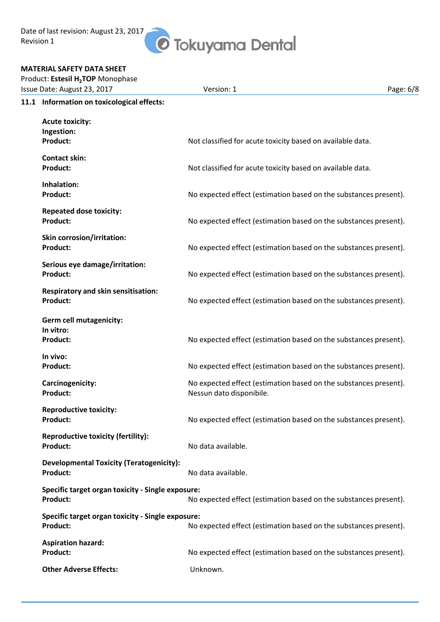Date of last revision: August 23, 2017 Revision 1

## *O* Tokuyama Dental

#### **MATERIAL SAFETY DATA SHEET**

| Issue Date: August 23, 2017                       | Version: 1                                                       | Page: 6/8 |
|---------------------------------------------------|------------------------------------------------------------------|-----------|
| 11.1 Information on toxicological effects:        |                                                                  |           |
| <b>Acute toxicity:</b>                            |                                                                  |           |
| Ingestion:                                        |                                                                  |           |
| <b>Product:</b>                                   | Not classified for acute toxicity based on available data.       |           |
| <b>Contact skin:</b>                              |                                                                  |           |
| <b>Product:</b>                                   | Not classified for acute toxicity based on available data.       |           |
| Inhalation:                                       |                                                                  |           |
| <b>Product:</b>                                   | No expected effect (estimation based on the substances present). |           |
| <b>Repeated dose toxicity:</b>                    |                                                                  |           |
| Product:                                          | No expected effect (estimation based on the substances present). |           |
| <b>Skin corrosion/irritation:</b>                 |                                                                  |           |
| Product:                                          | No expected effect (estimation based on the substances present). |           |
| Serious eye damage/irritation:                    |                                                                  |           |
| <b>Product:</b>                                   | No expected effect (estimation based on the substances present). |           |
| <b>Respiratory and skin sensitisation:</b>        |                                                                  |           |
| Product:                                          | No expected effect (estimation based on the substances present). |           |
| <b>Germ cell mutagenicity:</b>                    |                                                                  |           |
| In vitro:                                         |                                                                  |           |
| <b>Product:</b>                                   | No expected effect (estimation based on the substances present). |           |
| In vivo:                                          |                                                                  |           |
| <b>Product:</b>                                   | No expected effect (estimation based on the substances present). |           |
| Carcinogenicity:                                  | No expected effect (estimation based on the substances present). |           |
| <b>Product:</b>                                   | Nessun dato disponibile.                                         |           |
| <b>Reproductive toxicity:</b>                     |                                                                  |           |
| <b>Product:</b>                                   | No expected effect (estimation based on the substances present). |           |
| <b>Reproductive toxicity (fertility):</b>         |                                                                  |           |
| <b>Product:</b>                                   | No data available.                                               |           |
| <b>Developmental Toxicity (Teratogenicity):</b>   |                                                                  |           |
| <b>Product:</b>                                   | No data available.                                               |           |
| Specific target organ toxicity - Single exposure: |                                                                  |           |
| <b>Product:</b>                                   | No expected effect (estimation based on the substances present). |           |

**Product:** No expected effect (estimation based on the substances present). **Aspiration hazard: Product:** No expected effect (estimation based on the substances present). **Other Adverse Effects:** Unknown.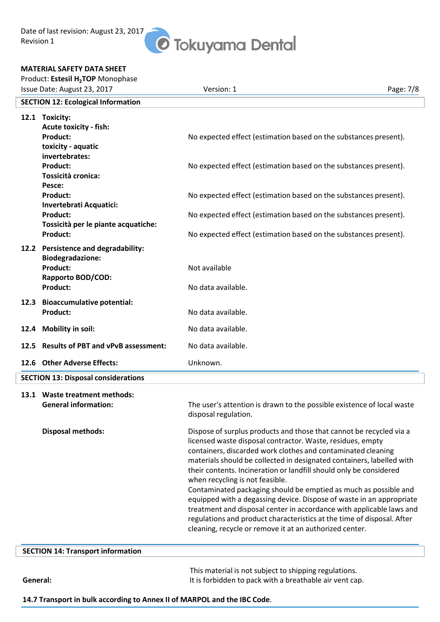Date of last revision: August 23, 2017 Revision 1

# *O* Tokuyama Dental

#### **MATERIAL SAFETY DATA SHEET**

| Product: Estesil H <sub>2</sub> TOP Monophase |                                                                                                            |                                                                                                                                                                                                                                                                                                                                                                                                                                                                                                                                                                                                                                                                                                                                              |           |  |
|-----------------------------------------------|------------------------------------------------------------------------------------------------------------|----------------------------------------------------------------------------------------------------------------------------------------------------------------------------------------------------------------------------------------------------------------------------------------------------------------------------------------------------------------------------------------------------------------------------------------------------------------------------------------------------------------------------------------------------------------------------------------------------------------------------------------------------------------------------------------------------------------------------------------------|-----------|--|
| Issue Date: August 23, 2017                   |                                                                                                            | Version: 1                                                                                                                                                                                                                                                                                                                                                                                                                                                                                                                                                                                                                                                                                                                                   | Page: 7/8 |  |
| <b>SECTION 12: Ecological Information</b>     |                                                                                                            |                                                                                                                                                                                                                                                                                                                                                                                                                                                                                                                                                                                                                                                                                                                                              |           |  |
|                                               | 12.1 Toxicity:<br><b>Acute toxicity - fish:</b><br><b>Product:</b><br>toxicity - aquatic<br>invertebrates: | No expected effect (estimation based on the substances present).                                                                                                                                                                                                                                                                                                                                                                                                                                                                                                                                                                                                                                                                             |           |  |
|                                               | Product:<br>Tossicità cronica:<br>Pesce:<br><b>Product:</b><br>Invertebrati Acquatici:                     | No expected effect (estimation based on the substances present).                                                                                                                                                                                                                                                                                                                                                                                                                                                                                                                                                                                                                                                                             |           |  |
|                                               |                                                                                                            | No expected effect (estimation based on the substances present).                                                                                                                                                                                                                                                                                                                                                                                                                                                                                                                                                                                                                                                                             |           |  |
|                                               | <b>Product:</b><br>Tossicità per le piante acquatiche:                                                     | No expected effect (estimation based on the substances present).                                                                                                                                                                                                                                                                                                                                                                                                                                                                                                                                                                                                                                                                             |           |  |
|                                               | <b>Product:</b><br>12.2 Persistence and degradability:                                                     | No expected effect (estimation based on the substances present).                                                                                                                                                                                                                                                                                                                                                                                                                                                                                                                                                                                                                                                                             |           |  |
|                                               | <b>Biodegradazione:</b><br><b>Product:</b><br><b>Rapporto BOD/COD:</b><br><b>Product:</b>                  | Not available                                                                                                                                                                                                                                                                                                                                                                                                                                                                                                                                                                                                                                                                                                                                |           |  |
|                                               |                                                                                                            | No data available.                                                                                                                                                                                                                                                                                                                                                                                                                                                                                                                                                                                                                                                                                                                           |           |  |
|                                               | 12.3 Bioaccumulative potential:<br><b>Product:</b>                                                         | No data available.                                                                                                                                                                                                                                                                                                                                                                                                                                                                                                                                                                                                                                                                                                                           |           |  |
|                                               | 12.4 Mobility in soil:                                                                                     | No data available.                                                                                                                                                                                                                                                                                                                                                                                                                                                                                                                                                                                                                                                                                                                           |           |  |
| 12.5                                          | <b>Results of PBT and vPvB assessment:</b>                                                                 | No data available.                                                                                                                                                                                                                                                                                                                                                                                                                                                                                                                                                                                                                                                                                                                           |           |  |
|                                               | 12.6 Other Adverse Effects:                                                                                | Unknown.                                                                                                                                                                                                                                                                                                                                                                                                                                                                                                                                                                                                                                                                                                                                     |           |  |
| <b>SECTION 13: Disposal considerations</b>    |                                                                                                            |                                                                                                                                                                                                                                                                                                                                                                                                                                                                                                                                                                                                                                                                                                                                              |           |  |
|                                               | 13.1 Waste treatment methods:<br><b>General information:</b>                                               | The user's attention is drawn to the possible existence of local waste<br>disposal regulation.                                                                                                                                                                                                                                                                                                                                                                                                                                                                                                                                                                                                                                               |           |  |
|                                               | <b>Disposal methods:</b>                                                                                   | Dispose of surplus products and those that cannot be recycled via a<br>licensed waste disposal contractor. Waste, residues, empty<br>containers, discarded work clothes and contaminated cleaning<br>materials should be collected in designated containers, labelled with<br>their contents. Incineration or landfill should only be considered<br>when recycling is not feasible.<br>Contaminated packaging should be emptied as much as possible and<br>equipped with a degassing device. Dispose of waste in an appropriate<br>treatment and disposal center in accordance with applicable laws and<br>regulations and product characteristics at the time of disposal. After<br>cleaning, recycle or remove it at an authorized center. |           |  |

#### **SECTION 14: Transport information**

This material is not subject to shipping regulations. **General:** It is forbidden to pack with a breathable air vent cap.